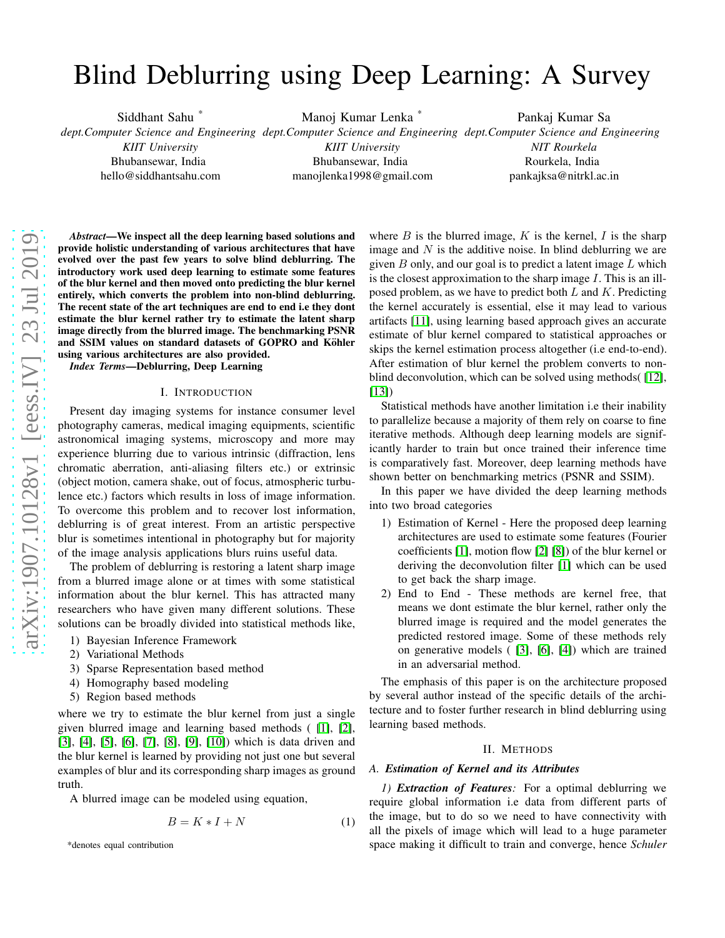# Blind Deblurring using Deep Learning: A Survey

Siddhant Sahu \* *dept.Computer Science and Engineering dept.Computer Science and Engineering dept.Computer Science and Engineering KIIT University* Bhubansewar, India hello@siddhantsahu.com Manoj Kumar Lenka \* *KIIT University* Bhubansewar, India manojlenka1998@gmail.com Pankaj Kumar Sa *NIT Rourkela* Rourkela, India pankajksa@nitrkl.ac.in

*Abstract*—We inspect all the deep learning based solutions and provide holistic understanding of various architectures that have evolved over the past few years to solve blind deblurring. The introductory work used deep learning to estimate some features of the blur kernel and then moved onto predicting the blur kernel entirely, which converts the problem into non-blind deblurring. The recent state of the art techniques are end to end i.e they dont estimate the blur kernel rather try to estimate the latent sharp image directly from the blurred image. The benchmarking PSNR and SSIM values on standard datasets of GOPRO and Köhler using various architectures are also provided.

*Index Terms*—Deblurring, Deep Learning

#### I. INTRODUCTION

Present day imaging systems for instance consumer level photography cameras, medical imaging equipments, scientific astronomical imaging systems, microscopy and more may experience blurring due to various intrinsic (diffraction, lens chromatic aberration, anti-aliasing filters etc.) or extrinsic (object motion, camera shake, out of focus, atmospheric turbulence etc.) factors which results in loss of image information. To overcome this problem and to recover lost information, deblurring is of great interest. From an artistic perspective blur is sometimes intentional in photography but for majority of the image analysis applications blurs ruins useful data.

The problem of deblurring is restoring a latent sharp image from a blurred image alone or at times with some statistical information about the blur kernel. This has attracted many researchers who have given many different solutions. These solutions can be broadly divided into statistical methods like,

- 1) Bayesian Inference Framework
- 2) Variational Methods
- 3) Sparse Representation based method
- 4) Homography based modeling
- 5) Region based methods

where we try to estimate the blur kernel from just a single given blurred image and learning based methods ( [\[1\]](#page-7-0), [\[2\]](#page-7-1), [\[3\]](#page-7-2), [\[4\]](#page-7-3), [\[5\]](#page-7-4), [\[6\]](#page-7-5), [\[7\]](#page-7-6), [\[8\]](#page-8-0), [\[9\]](#page-8-1), [\[10\]](#page-8-2)) which is data driven and the blur kernel is learned by providing not just one but several examples of blur and its corresponding sharp images as ground truth.

A blurred image can be modeled using equation,

$$
B = K \ast I + N \tag{1}
$$

where  $B$  is the blurred image,  $K$  is the kernel,  $I$  is the sharp image and  $N$  is the additive noise. In blind deblurring we are given  $B$  only, and our goal is to predict a latent image  $L$  which is the closest approximation to the sharp image I. This is an illposed problem, as we have to predict both  $L$  and  $K$ . Predicting the kernel accurately is essential, else it may lead to various artifacts [\[11\]](#page-8-3), using learning based approach gives an accurate estimate of blur kernel compared to statistical approaches or skips the kernel estimation process altogether (i.e end-to-end). After estimation of blur kernel the problem converts to nonblind deconvolution, which can be solved using methods( [\[12\]](#page-8-4), [\[13\]](#page-8-5))

Statistical methods have another limitation i.e their inability to parallelize because a majority of them rely on coarse to fine iterative methods. Although deep learning models are significantly harder to train but once trained their inference time is comparatively fast. Moreover, deep learning methods have shown better on benchmarking metrics (PSNR and SSIM).

In this paper we have divided the deep learning methods into two broad categories

- 1) Estimation of Kernel Here the proposed deep learning architectures are used to estimate some features (Fourier coefficients [\[1\]](#page-7-0), motion flow [\[2\]](#page-7-1) [\[8\]](#page-8-0)) of the blur kernel or deriving the deconvolution filter [\[1\]](#page-7-0) which can be used to get back the sharp image.
- 2) End to End These methods are kernel free, that means we dont estimate the blur kernel, rather only the blurred image is required and the model generates the predicted restored image. Some of these methods rely on generative models ( [\[3\]](#page-7-2), [\[6\]](#page-7-5), [\[4\]](#page-7-3)) which are trained in an adversarial method.

The emphasis of this paper is on the architecture proposed by several author instead of the specific details of the architecture and to foster further research in blind deblurring using learning based methods.

#### II. METHODS

### *A. Estimation of Kernel and its Attributes*

*1) Extraction of Features:* For a optimal deblurring we require global information i.e data from different parts of the image, but to do so we need to have connectivity with all the pixels of image which will lead to a huge parameter space making it difficult to train and converge, hence *Schuler*

<sup>\*</sup>denotes equal contribution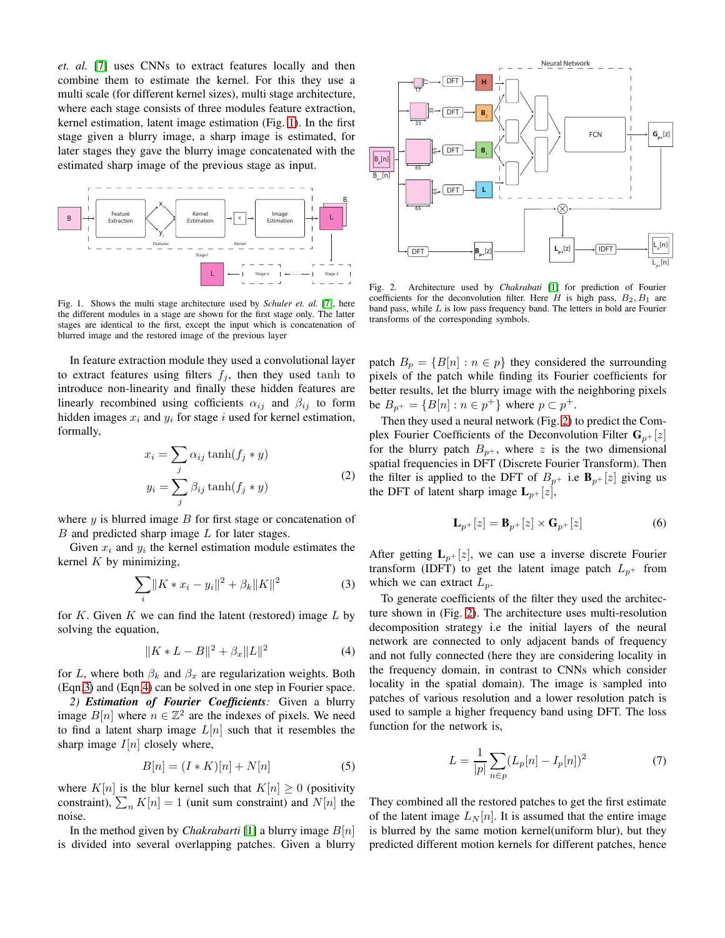*et. al.* [\[7\]](#page-7-6) uses CNNs to extract features locally and then combine them to estimate the kernel. For this they use a multi scale (for different kernel sizes), multi stage architecture, where each stage consists of three modules feature extraction, kernel estimation, latent image estimation (Fig. [1\)](#page-1-0). In the first stage given a blurry image, a sharp image is estimated, for later stages they gave the blurry image concatenated with the estimated sharp image of the previous stage as input.



<span id="page-1-0"></span>Fig. 1. Shows the multi stage architecture used by *Schuler et. al.* [\[7\]](#page-7-6), here the different modules in a stage are shown for the first stage only. The latter stages are identical to the first, except the input which is concatenation of blurred image and the restored image of the previous layer

In feature extraction module they used a convolutional layer to extract features using filters  $f_j$ , then they used tanh to introduce non-linearity and finally these hidden features are linearly recombined using cofficients  $\alpha_{ij}$  and  $\beta_{ij}$  to form hidden images  $x_i$  and  $y_i$  for stage i used for kernel estimation, formally,

$$
x_i = \sum_j \alpha_{ij} \tanh(f_j * y)
$$
  

$$
y_i = \sum_j \beta_{ij} \tanh(f_j * y)
$$
 (2)

where  $y$  is blurred image  $B$  for first stage or concatenation of  $B$  and predicted sharp image  $L$  for later stages.

Given  $x_i$  and  $y_i$  the kernel estimation module estimates the kernel  $K$  by minimizing,

<span id="page-1-1"></span>
$$
\sum_{i} \|K * x_i - y_i\|^2 + \beta_k \|K\|^2 \tag{3}
$$

for K. Given K we can find the latent (restored) image  $L$  by solving the equation,

<span id="page-1-2"></span>
$$
||K * L - B||^2 + \beta_x ||L||^2 \tag{4}
$$

for L, where both  $\beta_k$  and  $\beta_x$  are regularization weights. Both (Eqn[.3\)](#page-1-1) and (Eqn[.4\)](#page-1-2) can be solved in one step in Fourier space.

*2) Estimation of Fourier Coefficients:* Given a blurry image  $B[n]$  where  $n \in \mathbb{Z}^2$  are the indexes of pixels. We need to find a latent sharp image  $L[n]$  such that it resembles the sharp image  $I[n]$  closely where,

$$
B[n] = (I * K)[n] + N[n] \tag{5}
$$

where  $K[n]$  is the blur kernel such that  $K[n] \geq 0$  (positivity constraint),  $\sum_n K[n] = 1$  (unit sum constraint) and  $N[n]$  the noise.

In the method given by *Chakrabarti* [\[1\]](#page-7-0) a blurry image  $B[n]$ is divided into several overlapping patches. Given a blurry



<span id="page-1-3"></span>Fig. 2. Architecture used by *Chakrabati* [\[1\]](#page-7-0) for prediction of Fourier coefficients for the deconvolution filter. Here  $H$  is high pass,  $B_2, B_1$  are band pass, while  $L$  is low pass frequency band. The letters in bold are Fourier transforms of the corresponding symbols.

patch  $B_p = \{B[n] : n \in p\}$  they considered the surrounding pixels of the patch while finding its Fourier coefficients for better results, let the blurry image with the neighboring pixels be  $B_{p^+} = \{B[n] : n \in p^+\}$  where  $p \subset p^+$ .

Then they used a neural network (Fig. [2\)](#page-1-3) to predict the Complex Fourier Coefficients of the Deconvolution Filter  $G_{p+}[z]$ for the blurry patch  $B_{p+}$ , where z is the two dimensional spatial frequencies in DFT (Discrete Fourier Transform). Then the filter is applied to the DFT of  $B_{p+}$  i.e  $\mathbf{B}_{p+}[z]$  giving us the DFT of latent sharp image  $L_{p+}[z]$ ,

$$
\mathbf{L}_{p+}[z] = \mathbf{B}_{p+}[z] \times \mathbf{G}_{p+}[z] \tag{6}
$$

After getting  $L_{p+}[z]$ , we can use a inverse discrete Fourier transform (IDFT) to get the latent image patch  $L_{p+}$  from which we can extract  $L_p$ .

To generate coefficients of the filter they used the architecture shown in (Fig. [2\)](#page-1-3). The architecture uses multi-resolution decomposition strategy i.e the initial layers of the neural network are connected to only adjacent bands of frequency and not fully connected (here they are considering locality in the frequency domain, in contrast to CNNs which consider locality in the spatial domain). The image is sampled into patches of various resolution and a lower resolution patch is used to sample a higher frequency band using DFT. The loss function for the network is,

$$
L = \frac{1}{|p|} \sum_{n \in p} (L_p[n] - I_p[n])^2
$$
 (7)

They combined all the restored patches to get the first estimate of the latent image  $L_N[n]$ . It is assumed that the entire image is blurred by the same motion kernel(uniform blur), but they predicted different motion kernels for different patches, hence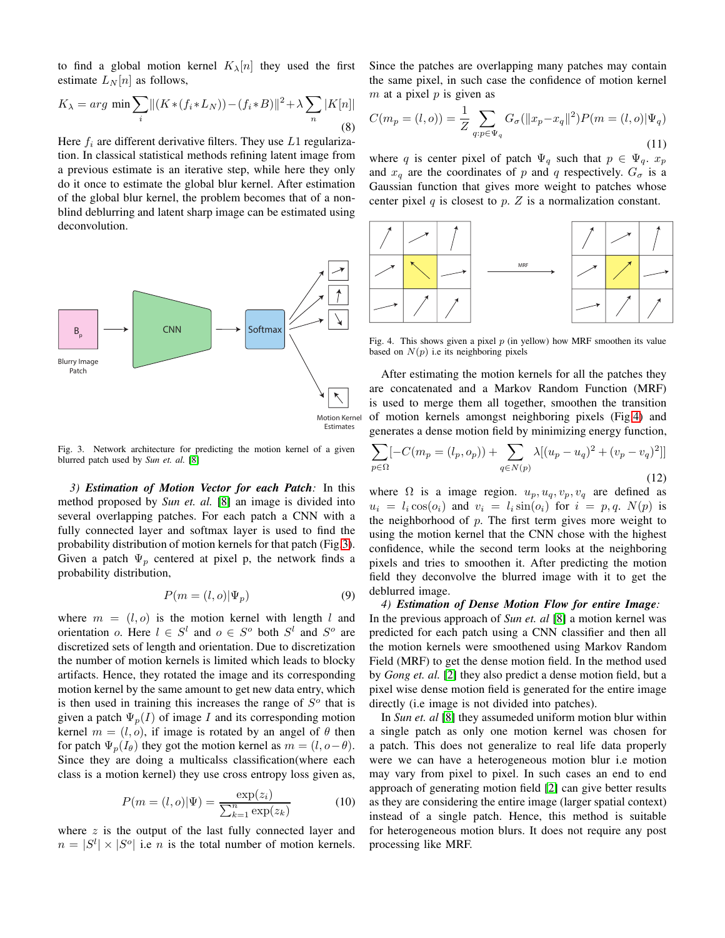to find a global motion kernel  $K_{\lambda}[n]$  they used the first estimate  $L_N[n]$  as follows,

$$
K_{\lambda} = arg \min \sum_{i} \left\| \left( K \ast (f_i \ast L_N) \right) - \left( f_i \ast B \right) \right\|^2 + \lambda \sum_{n} \left| K[n] \right|
$$
\n(8)

Here  $f_i$  are different derivative filters. They use  $L1$  regularization. In classical statistical methods refining latent image from a previous estimate is an iterative step, while here they only do it once to estimate the global blur kernel. After estimation of the global blur kernel, the problem becomes that of a nonblind deblurring and latent sharp image can be estimated using deconvolution.



<span id="page-2-0"></span>Fig. 3. Network architecture for predicting the motion kernel of a given blurred patch used by *Sun et. al.* [\[8\]](#page-8-0)

*3) Estimation of Motion Vector for each Patch:* In this method proposed by *Sun et. al.* [\[8\]](#page-8-0) an image is divided into several overlapping patches. For each patch a CNN with a fully connected layer and softmax layer is used to find the probability distribution of motion kernels for that patch (Fig[.3\)](#page-2-0). Given a patch  $\Psi_p$  centered at pixel p, the network finds a probability distribution,

$$
P(m = (l, o) | \Psi_p)
$$
 (9)

where  $m = (l, o)$  is the motion kernel with length l and orientation o. Here  $l \in S^l$  and  $o \in S^o$  both  $S^l$  and  $S^o$  are discretized sets of length and orientation. Due to discretization the number of motion kernels is limited which leads to blocky artifacts. Hence, they rotated the image and its corresponding motion kernel by the same amount to get new data entry, which is then used in training this increases the range of  $S<sup>o</sup>$  that is given a patch  $\Psi_p(I)$  of image I and its corresponding motion kernel  $m = (l, o)$ , if image is rotated by an angel of  $\theta$  then for patch  $\Psi_p(I_{\theta})$  they got the motion kernel as  $m = (l, o - \theta)$ . Since they are doing a multicalss classification(where each class is a motion kernel) they use cross entropy loss given as,

$$
P(m = (l, o) | \Psi) = \frac{\exp(z_i)}{\sum_{k=1}^{n} \exp(z_k)}
$$
(10)

where  $z$  is the output of the last fully connected layer and  $n = |S^l| \times |S^o|$  i.e *n* is the total number of motion kernels. Since the patches are overlapping many patches may contain the same pixel, in such case the confidence of motion kernel  $m$  at a pixel  $p$  is given as

$$
C(m_p = (l, o)) = \frac{1}{Z} \sum_{q: p \in \Psi_q} G_{\sigma}(\|x_p - x_q\|^2) P(m = (l, o) | \Psi_q)
$$
\n(11)

where q is center pixel of patch  $\Psi_q$  such that  $p \in \Psi_q$ .  $x_p$ and  $x_q$  are the coordinates of p and q respectively.  $G_{\sigma}$  is a Gaussian function that gives more weight to patches whose center pixel  $q$  is closest to  $p$ .  $Z$  is a normalization constant.



<span id="page-2-1"></span>Fig. 4. This shows given a pixel  $p$  (in yellow) how MRF smoothen its value based on  $N(p)$  i.e its neighboring pixels

After estimating the motion kernels for all the patches they are concatenated and a Markov Random Function (MRF) is used to merge them all together, smoothen the transition of motion kernels amongst neighboring pixels (Fig[.4\)](#page-2-1) and generates a dense motion field by minimizing energy function,

$$
\sum_{p \in \Omega} [-C(m_p = (l_p, o_p)) + \sum_{q \in N(p)} \lambda [(u_p - u_q)^2 + (v_p - v_q)^2]]
$$
\n(12)

where  $\Omega$  is a image region.  $u_p, u_q, v_p, v_q$  are defined as  $u_i = l_i \cos(o_i)$  and  $v_i = l_i \sin(o_i)$  for  $i = p, q$ .  $N(p)$  is the neighborhood of  $p$ . The first term gives more weight to using the motion kernel that the CNN chose with the highest confidence, while the second term looks at the neighboring pixels and tries to smoothen it. After predicting the motion field they deconvolve the blurred image with it to get the deblurred image.

*4) Estimation of Dense Motion Flow for entire Image:* In the previous approach of *Sun et. al* [\[8\]](#page-8-0) a motion kernel was predicted for each patch using a CNN classifier and then all the motion kernels were smoothened using Markov Random Field (MRF) to get the dense motion field. In the method used by *Gong et. al.* [\[2\]](#page-7-1) they also predict a dense motion field, but a pixel wise dense motion field is generated for the entire image directly (i.e image is not divided into patches).

In *Sun et. al* [\[8\]](#page-8-0) they assumeded uniform motion blur within a single patch as only one motion kernel was chosen for a patch. This does not generalize to real life data properly were we can have a heterogeneous motion blur i.e motion may vary from pixel to pixel. In such cases an end to end approach of generating motion field [\[2\]](#page-7-1) can give better results as they are considering the entire image (larger spatial context) instead of a single patch. Hence, this method is suitable for heterogeneous motion blurs. It does not require any post processing like MRF.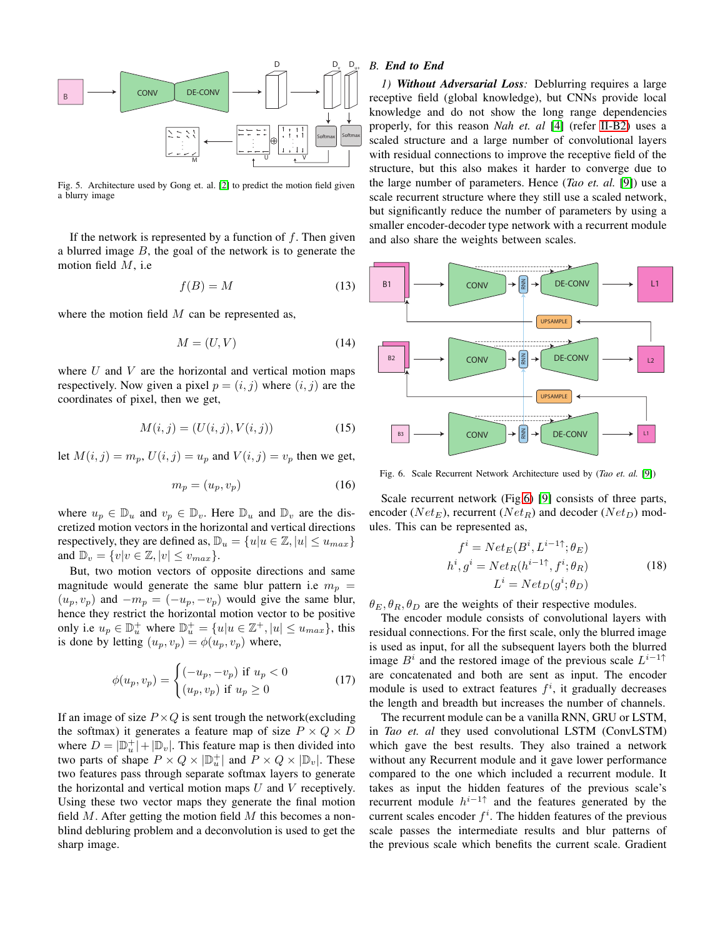

Fig. 5. Architecture used by Gong et. al. [\[2\]](#page-7-1) to predict the motion field given a blurry image

If the network is represented by a function of  $f$ . Then given a blurred image  $B$ , the goal of the network is to generate the motion field  $M$ , i.e

$$
f(B) = M \tag{13}
$$

where the motion field  $M$  can be represented as,

$$
M = (U, V) \tag{14}
$$

where  $U$  and  $V$  are the horizontal and vertical motion maps respectively. Now given a pixel  $p = (i, j)$  where  $(i, j)$  are the coordinates of pixel, then we get,

$$
M(i, j) = (U(i, j), V(i, j))
$$
\n(15)

let  $M(i, j) = m_p$ ,  $U(i, j) = u_p$  and  $V(i, j) = v_p$  then we get,

$$
m_p = (u_p, v_p) \tag{16}
$$

where  $u_p \in \mathbb{D}_u$  and  $v_p \in \mathbb{D}_v$ . Here  $\mathbb{D}_u$  and  $\mathbb{D}_v$  are the discretized motion vectors in the horizontal and vertical directions respectively, they are defined as,  $\mathbb{D}_u = \{u | u \in \mathbb{Z}, |u| \leq u_{max}\}\$ and  $\mathbb{D}_v = \{v | v \in \mathbb{Z}, |v| \leq v_{max}\}.$ 

But, two motion vectors of opposite directions and same magnitude would generate the same blur pattern i.e  $m_p =$  $(u_p, v_p)$  and  $-m_p = (-u_p, -v_p)$  would give the same blur, hence they restrict the horizontal motion vector to be positive only i.e  $u_p \in \mathbb{D}_u^+$  where  $\mathbb{D}_u^+ = \{u | u \in \mathbb{Z}^+, |u| \leq u_{max}\}$ , this is done by letting  $(u_p, v_p) = \phi(u_p, v_p)$  where,

$$
\phi(u_p, v_p) = \begin{cases}\n(-u_p, -v_p) & \text{if } u_p < 0 \\
(u_p, v_p) & \text{if } u_p \ge 0\n\end{cases}
$$
\n(17)

If an image of size  $P \times Q$  is sent trough the network(excluding the softmax) it generates a feature map of size  $P \times Q \times D$ where  $D = |\mathbb{D}_{u}^{+}| + |\mathbb{D}_{v}|$ . This feature map is then divided into two parts of shape  $P \times Q \times |\mathbb{D}_{u}^{+}|$  and  $P \times Q \times |\mathbb{D}_{v}|$ . These two features pass through separate softmax layers to generate the horizontal and vertical motion maps  $U$  and  $V$  receptively. Using these two vector maps they generate the final motion field  $M$ . After getting the motion field  $M$  this becomes a nonblind debluring problem and a deconvolution is used to get the sharp image.

# *B. End to End*

*1) Without Adversarial Loss:* Deblurring requires a large receptive field (global knowledge), but CNNs provide local knowledge and do not show the long range dependencies properly, for this reason *Nah et. al* [\[4\]](#page-7-3) (refer [II-B2\)](#page-5-0) uses a scaled structure and a large number of convolutional layers with residual connections to improve the receptive field of the structure, but this also makes it harder to converge due to the large number of parameters. Hence (*Tao et. al.* [\[9\]](#page-8-1)) use a scale recurrent structure where they still use a scaled network, but significantly reduce the number of parameters by using a smaller encoder-decoder type network with a recurrent module and also share the weights between scales.



<span id="page-3-0"></span>Fig. 6. Scale Recurrent Network Architecture used by (*Tao et. al.* [\[9\]](#page-8-1))

Scale recurrent network (Fig[.6\)](#page-3-0) [\[9\]](#page-8-1) consists of three parts, encoder ( $Net_E$ ), recurrent ( $Net_R$ ) and decoder ( $Net_D$ ) modules. This can be represented as,

$$
f^{i} = Net_{E}(B^{i}, L^{i-1\uparrow}; \theta_{E})
$$
  
\n
$$
h^{i}, g^{i} = Net_{R}(h^{i-1\uparrow}, f^{i}; \theta_{R})
$$
  
\n
$$
L^{i} = Net_{D}(g^{i}; \theta_{D})
$$
\n(18)

<span id="page-3-1"></span> $\theta_E, \theta_R, \theta_D$  are the weights of their respective modules.

The encoder module consists of convolutional layers with residual connections. For the first scale, only the blurred image is used as input, for all the subsequent layers both the blurred image  $B^i$  and the restored image of the previous scale  $L^{i-1\uparrow}$ are concatenated and both are sent as input. The encoder module is used to extract features  $f^i$ , it gradually decreases the length and breadth but increases the number of channels.

The recurrent module can be a vanilla RNN, GRU or LSTM, in *Tao et. al* they used convolutional LSTM (ConvLSTM) which gave the best results. They also trained a network without any Recurrent module and it gave lower performance compared to the one which included a recurrent module. It takes as input the hidden features of the previous scale's recurrent module  $h^{i-1\uparrow}$  and the features generated by the current scales encoder  $f^i$ . The hidden features of the previous scale passes the intermediate results and blur patterns of the previous scale which benefits the current scale. Gradient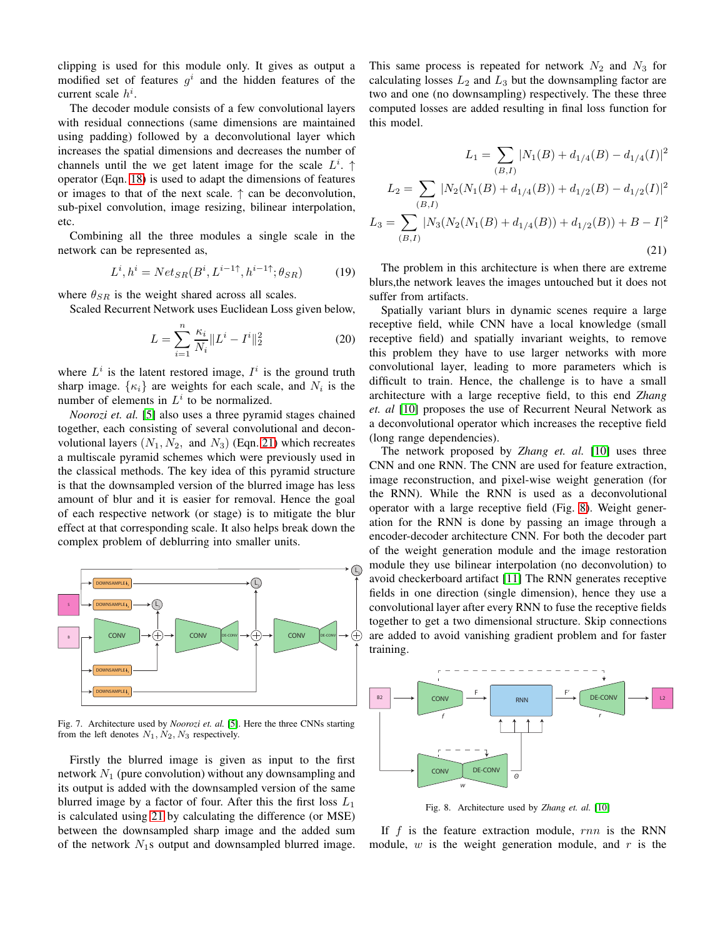clipping is used for this module only. It gives as output a modified set of features  $g^i$  and the hidden features of the current scale  $h^i$ .

The decoder module consists of a few convolutional layers with residual connections (same dimensions are maintained using padding) followed by a deconvolutional layer which increases the spatial dimensions and decreases the number of channels until the we get latent image for the scale  $L^i$ . operator (Eqn. [18\)](#page-3-1) is used to adapt the dimensions of features or images to that of the next scale.  $\uparrow$  can be deconvolution, sub-pixel convolution, image resizing, bilinear interpolation, etc.

Combining all the three modules a single scale in the network can be represented as,

$$
L^i, h^i = Net_{SR}(B^i, L^{i-1\uparrow}, h^{i-1\uparrow}; \theta_{SR})
$$
 (19)

where  $\theta_{SR}$  is the weight shared across all scales.

Scaled Recurrent Network uses Euclidean Loss given below,

$$
L = \sum_{i=1}^{n} \frac{\kappa_i}{N_i} \| L^i - I^i \|_2^2
$$
 (20)

where  $L^i$  is the latent restored image,  $I^i$  is the ground truth sharp image.  $\{\kappa_i\}$  are weights for each scale, and  $N_i$  is the number of elements in  $L^i$  to be normalized.

*Noorozi et. al.* [\[5\]](#page-7-4) also uses a three pyramid stages chained together, each consisting of several convolutional and deconvolutional layers  $(N_1, N_2, \text{ and } N_3)$  (Eqn. [21\)](#page-4-0) which recreates a multiscale pyramid schemes which were previously used in the classical methods. The key idea of this pyramid structure is that the downsampled version of the blurred image has less amount of blur and it is easier for removal. Hence the goal of each respective network (or stage) is to mitigate the blur effect at that corresponding scale. It also helps break down the complex problem of deblurring into smaller units.



Fig. 7. Architecture used by *Noorozi et. al.* [\[5\]](#page-7-4). Here the three CNNs starting from the left denotes  $N_1, N_2, N_3$  respectively.

Firstly the blurred image is given as input to the first network  $N_1$  (pure convolution) without any downsampling and its output is added with the downsampled version of the same blurred image by a factor of four. After this the first loss  $L_1$ is calculated using [21](#page-4-0) by calculating the difference (or MSE) between the downsampled sharp image and the added sum of the network  $N_1$ s output and downsampled blurred image. This same process is repeated for network  $N_2$  and  $N_3$  for calculating losses  $L_2$  and  $L_3$  but the downsampling factor are two and one (no downsampling) respectively. The these three computed losses are added resulting in final loss function for this model.

<span id="page-4-0"></span>
$$
L_1 = \sum_{(B,I)} |N_1(B) + d_{1/4}(B) - d_{1/4}(I)|^2
$$
  
\n
$$
L_2 = \sum_{(B,I)} |N_2(N_1(B) + d_{1/4}(B)) + d_{1/2}(B) - d_{1/2}(I)|^2
$$
  
\n
$$
L_3 = \sum_{(B,I)} |N_3(N_2(N_1(B) + d_{1/4}(B)) + d_{1/2}(B)) + B - I|^2
$$
\n(21)

The problem in this architecture is when there are extreme blurs,the network leaves the images untouched but it does not suffer from artifacts.

Spatially variant blurs in dynamic scenes require a large receptive field, while CNN have a local knowledge (small receptive field) and spatially invariant weights, to remove this problem they have to use larger networks with more convolutional layer, leading to more parameters which is difficult to train. Hence, the challenge is to have a small architecture with a large receptive field, to this end *Zhang et. al* [\[10\]](#page-8-2) proposes the use of Recurrent Neural Network as a deconvolutional operator which increases the receptive field (long range dependencies).

The network proposed by *Zhang et. al.* [\[10\]](#page-8-2) uses three CNN and one RNN. The CNN are used for feature extraction, image reconstruction, and pixel-wise weight generation (for the RNN). While the RNN is used as a deconvolutional operator with a large receptive field (Fig. [8\)](#page-4-1). Weight generation for the RNN is done by passing an image through a encoder-decoder architecture CNN. For both the decoder part of the weight generation module and the image restoration module they use bilinear interpolation (no deconvolution) to avoid checkerboard artifact [\[11\]](#page-8-3) The RNN generates receptive fields in one direction (single dimension), hence they use a convolutional layer after every RNN to fuse the receptive fields together to get a two dimensional structure. Skip connections are added to avoid vanishing gradient problem and for faster training.



<span id="page-4-1"></span>Fig. 8. Architecture used by *Zhang et. al.* [\[10\]](#page-8-2)

If f is the feature extraction module,  $rnn$  is the RNN module,  $w$  is the weight generation module, and  $r$  is the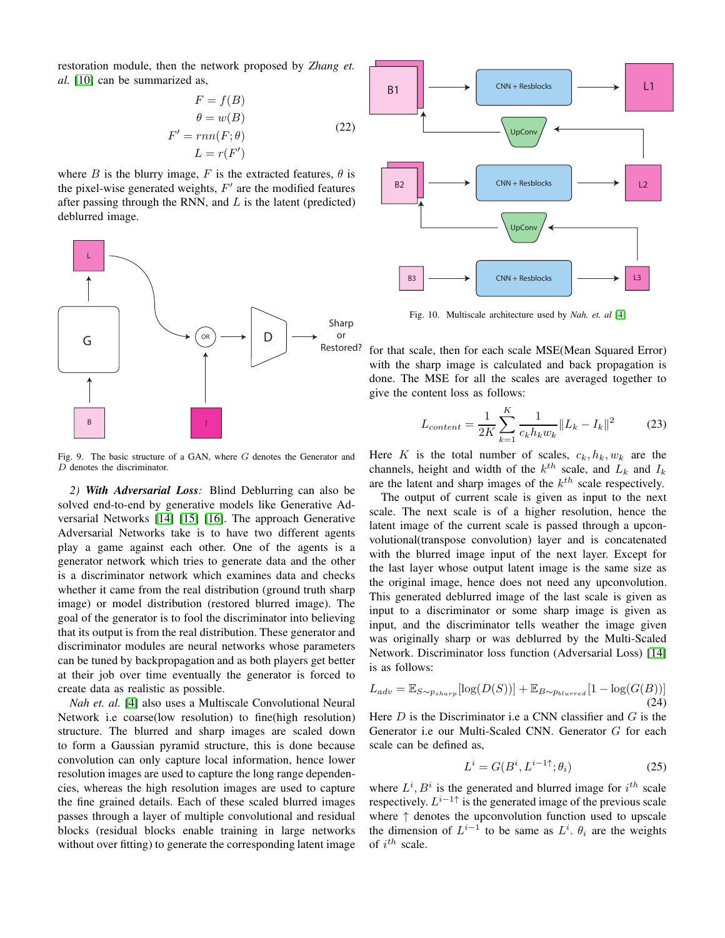restoration module, then the network proposed by *Zhang et. al.* [\[10\]](#page-8-2) can be summarized as,

$$
F = f(B)
$$
  
\n
$$
\theta = w(B)
$$
  
\n
$$
F' = rnn(F; \theta)
$$
  
\n
$$
L = r(F')
$$
\n(22)

where B is the blurry image, F is the extracted features,  $\theta$  is the pixel-wise generated weights,  $F'$  are the modified features after passing through the RNN, and  $L$  is the latent (predicted) deblurred image.

<span id="page-5-0"></span>

Fig. 9. The basic structure of a GAN, where G denotes the Generator and D denotes the discriminator.

*2) With Adversarial Loss:* Blind Deblurring can also be solved end-to-end by generative models like Generative Adversarial Networks [\[14\]](#page-8-6) [\[15\]](#page-8-7) [\[16\]](#page-8-8). The approach Generative Adversarial Networks take is to have two different agents play a game against each other. One of the agents is a generator network which tries to generate data and the other is a discriminator network which examines data and checks whether it came from the real distribution (ground truth sharp image) or model distribution (restored blurred image). The goal of the generator is to fool the discriminator into believing that its output is from the real distribution. These generator and discriminator modules are neural networks whose parameters can be tuned by backpropagation and as both players get better at their job over time eventually the generator is forced to create data as realistic as possible.

*Nah et. al.* [\[4\]](#page-7-3) also uses a Multiscale Convolutional Neural Network i.e coarse(low resolution) to fine(high resolution) structure. The blurred and sharp images are scaled down to form a Gaussian pyramid structure, this is done because convolution can only capture local information, hence lower resolution images are used to capture the long range dependencies, whereas the high resolution images are used to capture the fine grained details. Each of these scaled blurred images passes through a layer of multiple convolutional and residual blocks (residual blocks enable training in large networks without over fitting) to generate the corresponding latent image



Fig. 10. Multiscale architecture used by *Nah. et. al* [\[4\]](#page-7-3)

for that scale, then for each scale MSE(Mean Squared Error) with the sharp image is calculated and back propagation is done. The MSE for all the scales are averaged together to give the content loss as follows:

$$
L_{content} = \frac{1}{2K} \sum_{k=1}^{K} \frac{1}{c_k h_k w_k} \| L_k - I_k \|^2
$$
 (23)

Here K is the total number of scales,  $c_k$ ,  $h_k$ ,  $w_k$  are the channels, height and width of the  $k^{th}$  scale, and  $L_k$  and  $I_k$ are the latent and sharp images of the  $k^{th}$  scale respectively.

The output of current scale is given as input to the next scale. The next scale is of a higher resolution, hence the latent image of the current scale is passed through a upconvolutional(transpose convolution) layer and is concatenated with the blurred image input of the next layer. Except for the last layer whose output latent image is the same size as the original image, hence does not need any upconvolution. This generated deblurred image of the last scale is given as input to a discriminator or some sharp image is given as input, and the discriminator tells weather the image given was originally sharp or was deblurred by the Multi-Scaled Network. Discriminator loss function (Adversarial Loss) [\[14\]](#page-8-6) is as follows:

$$
L_{adv} = \mathbb{E}_{S \sim p_{sharp}}[log(D(S))] + \mathbb{E}_{B \sim p_{blurred}}[1 - log(G(B))]
$$
\n(24)

Here  $D$  is the Discriminator i.e a CNN classifier and  $G$  is the Generator i.e our Multi-Scaled CNN. Generator G for each scale can be defined as,

$$
L^i = G(B^i, L^{i-1\uparrow}; \theta_i)
$$
 (25)

where  $L^i$ ,  $B^i$  is the generated and blurred image for  $i^{th}$  scale respectively.  $L^{i-1\uparrow}$  is the generated image of the previous scale where ↑ denotes the upconvolution function used to upscale the dimension of  $L^{i-1}$  to be same as  $L^i$ .  $\theta_i$  are the weights of  $i^{th}$  scale.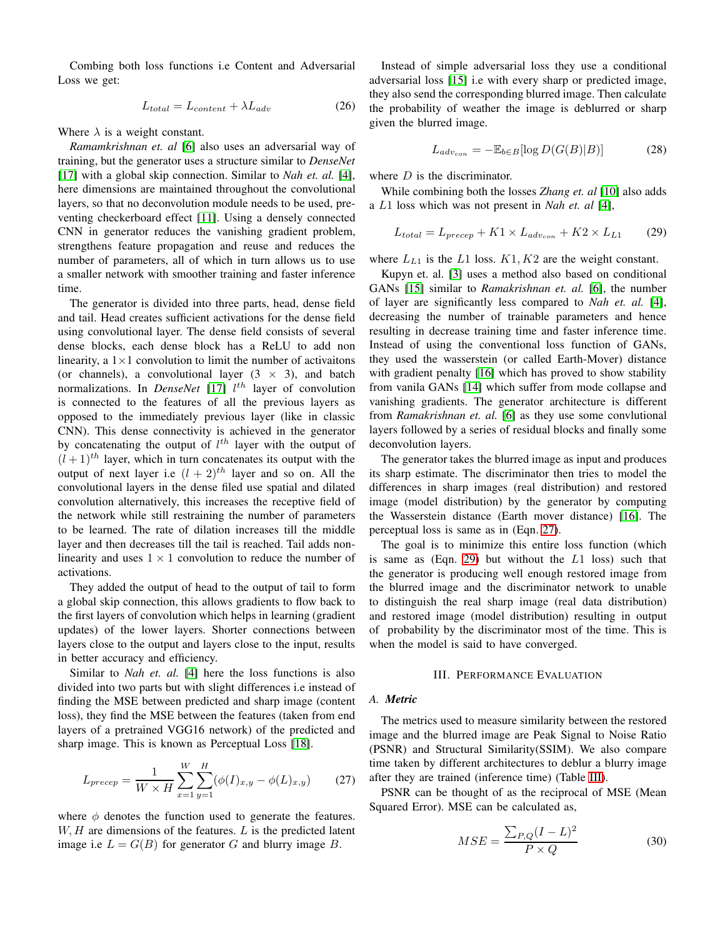Combing both loss functions i.e Content and Adversarial Loss we get:

$$
L_{total} = L_{content} + \lambda L_{adv} \tag{26}
$$

Where  $\lambda$  is a weight constant.

*Ramamkrishnan et. al* [\[6\]](#page-7-5) also uses an adversarial way of training, but the generator uses a structure similar to *DenseNet* [\[17\]](#page-8-9) with a global skip connection. Similar to *Nah et. al.* [\[4\]](#page-7-3), here dimensions are maintained throughout the convolutional layers, so that no deconvolution module needs to be used, preventing checkerboard effect [\[11\]](#page-8-3). Using a densely connected CNN in generator reduces the vanishing gradient problem, strengthens feature propagation and reuse and reduces the number of parameters, all of which in turn allows us to use a smaller network with smoother training and faster inference time.

The generator is divided into three parts, head, dense field and tail. Head creates sufficient activations for the dense field using convolutional layer. The dense field consists of several dense blocks, each dense block has a ReLU to add non linearity, a  $1 \times 1$  convolution to limit the number of activaitons (or channels), a convolutional layer  $(3 \times 3)$ , and batch normalizations. In *DenseNet* [\[17\]](#page-8-9)  $l<sup>th</sup>$  layer of convolution is connected to the features of all the previous layers as opposed to the immediately previous layer (like in classic CNN). This dense connectivity is achieved in the generator by concatenating the output of  $l^{th}$  layer with the output of  $(l+1)$ <sup>th</sup> layer, which in turn concatenates its output with the output of next layer i.e  $(l + 2)^{th}$  layer and so on. All the convolutional layers in the dense filed use spatial and dilated convolution alternatively, this increases the receptive field of the network while still restraining the number of parameters to be learned. The rate of dilation increases till the middle layer and then decreases till the tail is reached. Tail adds nonlinearity and uses  $1 \times 1$  convolution to reduce the number of activations.

They added the output of head to the output of tail to form a global skip connection, this allows gradients to flow back to the first layers of convolution which helps in learning (gradient updates) of the lower layers. Shorter connections between layers close to the output and layers close to the input, results in better accuracy and efficiency.

Similar to *Nah et. al.* [\[4\]](#page-7-3) here the loss functions is also divided into two parts but with slight differences i.e instead of finding the MSE between predicted and sharp image (content loss), they find the MSE between the features (taken from end layers of a pretrained VGG16 network) of the predicted and sharp image. This is known as Perceptual Loss [\[18\]](#page-8-10).

<span id="page-6-0"></span>
$$
L_{precep} = \frac{1}{W \times H} \sum_{x=1}^{W} \sum_{y=1}^{H} (\phi(I)_{x,y} - \phi(L)_{x,y})
$$
 (27)

where  $\phi$  denotes the function used to generate the features.  $W, H$  are dimensions of the features.  $L$  is the predicted latent image i.e  $L = G(B)$  for generator G and blurry image B.

Instead of simple adversarial loss they use a conditional adversarial loss [\[15\]](#page-8-7) i.e with every sharp or predicted image, they also send the corresponding blurred image. Then calculate the probability of weather the image is deblurred or sharp given the blurred image.

$$
L_{adv_{con}} = -\mathbb{E}_{b \in B}[\log D(G(B)|B)] \tag{28}
$$

where  $D$  is the discriminator.

While combining both the losses *Zhang et. al* [\[10\]](#page-8-2) also adds a L1 loss which was not present in *Nah et. al* [\[4\]](#page-7-3),

<span id="page-6-1"></span>
$$
L_{total} = L_{precep} + K1 \times L_{adv_{con}} + K2 \times L_{L1}
$$
 (29)

where  $L_{L1}$  is the L1 loss.  $K1, K2$  are the weight constant.

Kupyn et. al. [\[3\]](#page-7-2) uses a method also based on conditional GANs [\[15\]](#page-8-7) similar to *Ramakrishnan et. al.* [\[6\]](#page-7-5), the number of layer are significantly less compared to *Nah et. al.* [\[4\]](#page-7-3), decreasing the number of trainable parameters and hence resulting in decrease training time and faster inference time. Instead of using the conventional loss function of GANs, they used the wasserstein (or called Earth-Mover) distance with gradient penalty [\[16\]](#page-8-8) which has proved to show stability from vanila GANs [\[14\]](#page-8-6) which suffer from mode collapse and vanishing gradients. The generator architecture is different from *Ramakrishnan et. al.* [\[6\]](#page-7-5) as they use some convlutional layers followed by a series of residual blocks and finally some deconvolution layers.

The generator takes the blurred image as input and produces its sharp estimate. The discriminator then tries to model the differences in sharp images (real distribution) and restored image (model distribution) by the generator by computing the Wasserstein distance (Earth mover distance) [\[16\]](#page-8-8). The perceptual loss is same as in (Eqn. [27\)](#page-6-0).

The goal is to minimize this entire loss function (which is same as  $(Eqn. 29)$  $(Eqn. 29)$  but without the  $L1$  loss) such that the generator is producing well enough restored image from the blurred image and the discriminator network to unable to distinguish the real sharp image (real data distribution) and restored image (model distribution) resulting in output of probability by the discriminator most of the time. This is when the model is said to have converged.

#### III. PERFORMANCE EVALUATION

#### *A. Metric*

The metrics used to measure similarity between the restored image and the blurred image are Peak Signal to Noise Ratio (PSNR) and Structural Similarity(SSIM). We also compare time taken by different architectures to deblur a blurry image after they are trained (inference time) (Table [III\)](#page-7-7).

PSNR can be thought of as the reciprocal of MSE (Mean Squared Error). MSE can be calculated as,

$$
MSE = \frac{\sum_{P,Q} (I - L)^2}{P \times Q} \tag{30}
$$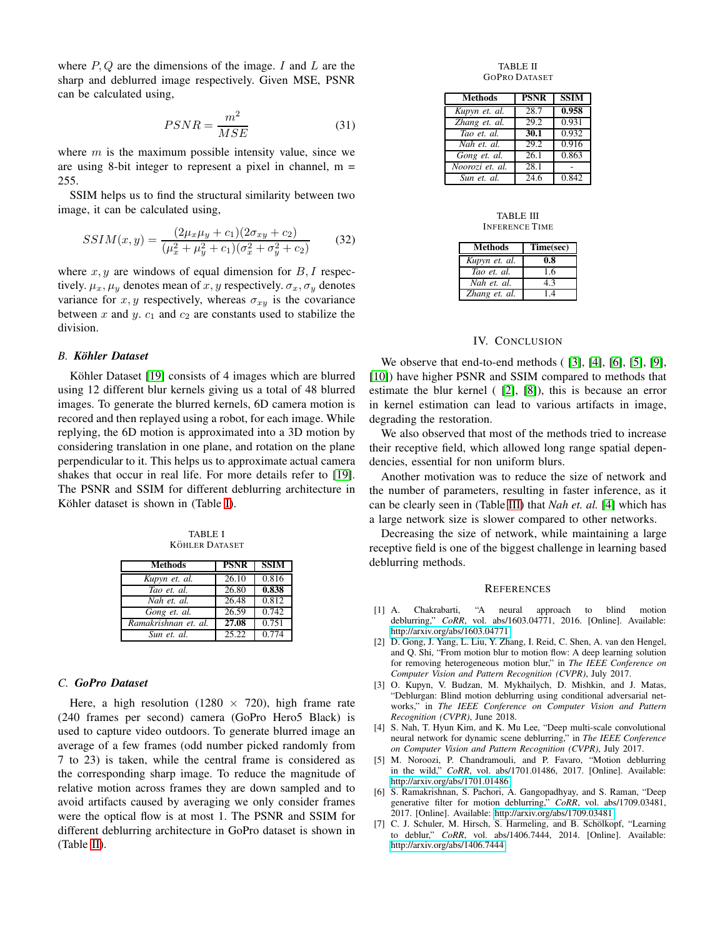where  $P, Q$  are the dimensions of the image. I and L are the sharp and deblurred image respectively. Given MSE, PSNR can be calculated using,

$$
PSNR = \frac{m^2}{MSE} \tag{31}
$$

where  $m$  is the maximum possible intensity value, since we are using 8-bit integer to represent a pixel in channel,  $m =$ 255.

SSIM helps us to find the structural similarity between two image, it can be calculated using,

$$
SSIM(x,y) = \frac{(2\mu_x \mu_y + c_1)(2\sigma_{xy} + c_2)}{(\mu_x^2 + \mu_y^2 + c_1)(\sigma_x^2 + \sigma_y^2 + c_2)}
$$
(32)

where  $x, y$  are windows of equal dimension for  $B, I$  respectively.  $\mu_x, \mu_y$  denotes mean of x, y respectively.  $\sigma_x, \sigma_y$  denotes variance for  $x, y$  respectively, whereas  $\sigma_{xy}$  is the covariance between x and y.  $c_1$  and  $c_2$  are constants used to stabilize the division.

#### *B. Kohler Dataset ¨*

Köhler Dataset [\[19\]](#page-8-11) consists of 4 images which are blurred using 12 different blur kernels giving us a total of 48 blurred images. To generate the blurred kernels, 6D camera motion is recored and then replayed using a robot, for each image. While replying, the 6D motion is approximated into a 3D motion by considering translation in one plane, and rotation on the plane perpendicular to it. This helps us to approximate actual camera shakes that occur in real life. For more details refer to [\[19\]](#page-8-11). The PSNR and SSIM for different deblurring architecture in Köhler dataset is shown in (Table [I\)](#page-7-8).

TABLE I KÖHLER DATASET

<span id="page-7-8"></span>

| <b>Methods</b>       | <b>PSNR</b>        | <b>SSIM</b> |
|----------------------|--------------------|-------------|
| Kupyn et. al.        | $\overline{26.10}$ | 0.816       |
| Tao et al.           | 26.80              | 0.838       |
| Nah et. al.          | 26.48              | 0.812       |
| Gong et. al.         | 26.59              | 0.742       |
| Ramakrishnan et. al. | 27.08              | 0.751       |
| Sun et. al.          | 25.22              | 0.774       |

## *C. GoPro Dataset*

Here, a high resolution (1280  $\times$  720), high frame rate (240 frames per second) camera (GoPro Hero5 Black) is used to capture video outdoors. To generate blurred image an average of a few frames (odd number picked randomly from 7 to 23) is taken, while the central frame is considered as the corresponding sharp image. To reduce the magnitude of relative motion across frames they are down sampled and to avoid artifacts caused by averaging we only consider frames were the optical flow is at most 1. The PSNR and SSIM for different deblurring architecture in GoPro dataset is shown in (Table [II\)](#page-7-9).

TABLE II GOPRO DATASET

<span id="page-7-9"></span>

| <b>Methods</b>  | <b>PSNR</b> | <b>SSIM</b> |
|-----------------|-------------|-------------|
| Kupyn et. al.   | 28.7        | 0.958       |
| Zhang et. al.   | 29.2        | 0.931       |
| Tao et. al.     | 30.1        | 0.932       |
| Nah et. al.     | 29.2        | 0.916       |
| Gong et. al.    | 26.1        | 0.863       |
| Noorozi et. al. | 28.1        |             |
| Sun et. al.     | 24.6        | 0.842       |

#### TABLE III INFERENCE TIME

<span id="page-7-7"></span>

| Methods       | Time(sec) |  |
|---------------|-----------|--|
| Kupyn et. al. | 0.8       |  |
| Tao et al.    | 16        |  |
| Nah et. al.   | 43        |  |
| Zhang et. al. | 14        |  |

## IV. CONCLUSION

We observe that end-to-end methods ( [\[3\]](#page-7-2), [\[4\]](#page-7-3), [\[6\]](#page-7-5), [\[5\]](#page-7-4), [\[9\]](#page-8-1), [\[10\]](#page-8-2)) have higher PSNR and SSIM compared to methods that estimate the blur kernel ( [\[2\]](#page-7-1), [\[8\]](#page-8-0)), this is because an error in kernel estimation can lead to various artifacts in image, degrading the restoration.

We also observed that most of the methods tried to increase their receptive field, which allowed long range spatial dependencies, essential for non uniform blurs.

Another motivation was to reduce the size of network and the number of parameters, resulting in faster inference, as it can be clearly seen in (Table [III\)](#page-7-7) that *Nah et. al.* [\[4\]](#page-7-3) which has a large network size is slower compared to other networks.

Decreasing the size of network, while maintaining a large receptive field is one of the biggest challenge in learning based deblurring methods.

#### **REFERENCES**

- <span id="page-7-0"></span>[1] A. Chakrabarti, "A neural approach to blind motion deblurring," *CoRR*, vol. abs/1603.04771, 2016. [Online]. Available: <http://arxiv.org/abs/1603.04771>
- <span id="page-7-1"></span>[2] D. Gong, J. Yang, L. Liu, Y. Zhang, I. Reid, C. Shen, A. van den Hengel, and Q. Shi, "From motion blur to motion flow: A deep learning solution for removing heterogeneous motion blur," in *The IEEE Conference on Computer Vision and Pattern Recognition (CVPR)*, July 2017.
- <span id="page-7-2"></span>[3] O. Kupyn, V. Budzan, M. Mykhailych, D. Mishkin, and J. Matas, "Deblurgan: Blind motion deblurring using conditional adversarial networks," in *The IEEE Conference on Computer Vision and Pattern Recognition (CVPR)*, June 2018.
- <span id="page-7-3"></span>[4] S. Nah, T. Hyun Kim, and K. Mu Lee, "Deep multi-scale convolutional neural network for dynamic scene deblurring," in *The IEEE Conference on Computer Vision and Pattern Recognition (CVPR)*, July 2017.
- <span id="page-7-4"></span>[5] M. Noroozi, P. Chandramouli, and P. Favaro, "Motion deblurring in the wild," *CoRR*, vol. abs/1701.01486, 2017. [Online]. Available: <http://arxiv.org/abs/1701.01486>
- <span id="page-7-5"></span>[6] S. Ramakrishnan, S. Pachori, A. Gangopadhyay, and S. Raman, "Deep generative filter for motion deblurring," *CoRR*, vol. abs/1709.03481, 2017. [Online]. Available:<http://arxiv.org/abs/1709.03481>
- <span id="page-7-6"></span>[7] C. J. Schuler, M. Hirsch, S. Harmeling, and B. Schölkopf, "Learning to deblur," *CoRR*, vol. abs/1406.7444, 2014. [Online]. Available: <http://arxiv.org/abs/1406.7444>